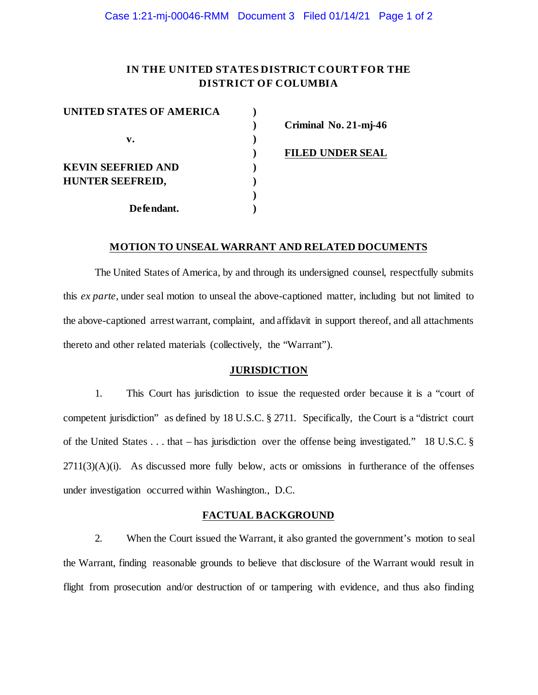## **IN THE UNITED STATES DISTRICT COURT FOR THE DISTRICT OF COLUMBIA**

| UNITED STATES OF AMERICA  |  |
|---------------------------|--|
|                           |  |
| $\mathbf{v}$ .            |  |
|                           |  |
| <b>KEVIN SEEFRIED AND</b> |  |
| <b>HUNTER SEEFREID,</b>   |  |
|                           |  |
| Defendant.                |  |

**) Criminal No. 21-mj-46**

**) FILED UNDER SEAL**

#### **MOTION TO UNSEAL WARRANT AND RELATED DOCUMENTS**

The United States of America, by and through its undersigned counsel, respectfully submits this *ex parte*, under seal motion to unseal the above-captioned matter, including but not limited to the above-captioned arrestwarrant, complaint, and affidavit in support thereof, and all attachments thereto and other related materials (collectively, the "Warrant").

#### **JURISDICTION**

1. This Court has jurisdiction to issue the requested order because it is a "court of competent jurisdiction" as defined by 18 U.S.C. § 2711. Specifically, the Court is a "district court of the United States . . . that – has jurisdiction over the offense being investigated." 18 U.S.C. §  $2711(3)(A)(i)$ . As discussed more fully below, acts or omissions in furtherance of the offenses under investigation occurred within Washington., D.C.

### **FACTUAL BACKGROUND**

2. When the Court issued the Warrant, it also granted the government's motion to seal the Warrant, finding reasonable grounds to believe that disclosure of the Warrant would result in flight from prosecution and/or destruction of or tampering with evidence, and thus also finding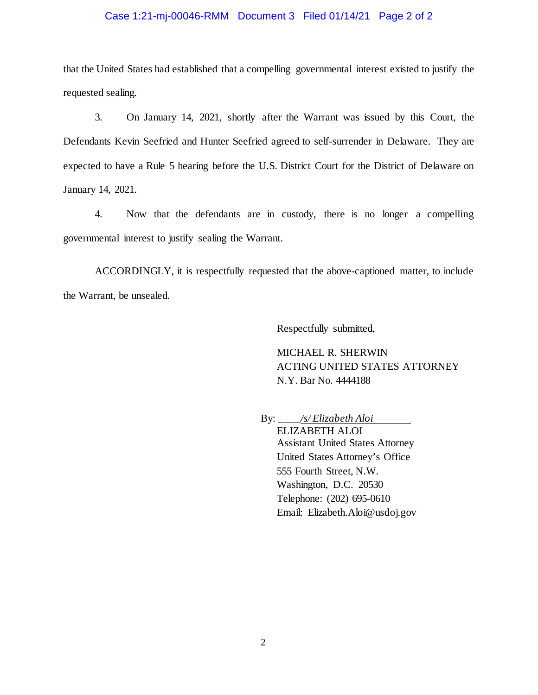## Case 1:21-mj-00046-RMM Document 3 Filed 01/14/21 Page 2 of 2

that the United States had established that a compelling governmental interest existed to justify the requested sealing.

3. On January 14, 2021, shortly after the Warrant was issued by this Court, the Defendants Kevin Seefried and Hunter Seefried agreed to self-surrender in Delaware. They are expected to have a Rule 5 hearing before the U.S. District Court for the District of Delaware on January 14, 2021.

4. Now that the defendants are in custody, there is no longer a compelling governmental interest to justify sealing the Warrant.

ACCORDINGLY, it is respectfully requested that the above-captioned matter, to include the Warrant, be unsealed.

Respectfully submitted,

MICHAEL R. SHERWIN ACTING UNITED STATES ATTORNEY N.Y. Bar No. 4444188

By: \_\_\_\_*/s/ Elizabeth Aloi* ELIZABETH ALOI Assistant United States Attorney United States Attorney's Office 555 Fourth Street, N.W. Washington, D.C. 20530 Telephone: (202) 695-0610 Email: Elizabeth.Aloi@usdoj.gov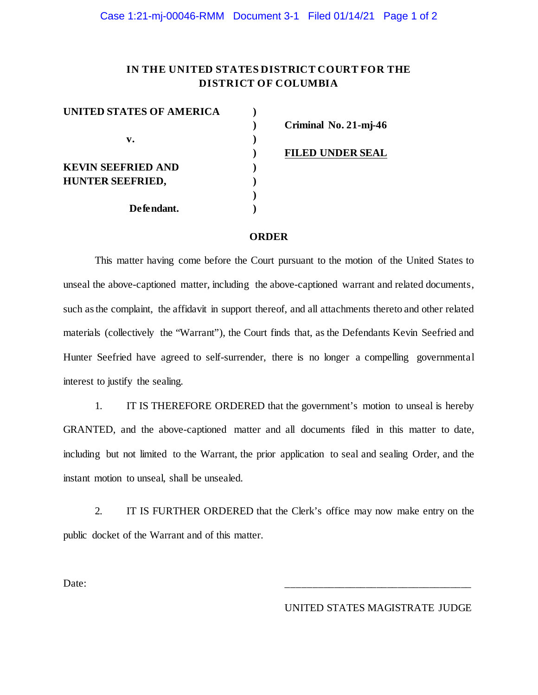## **IN THE UNITED STATES DISTRICT COURT FOR THE DISTRICT OF COLUMBIA**

| UNITED STATES OF AMERICA  |  |
|---------------------------|--|
|                           |  |
| $\mathbf{v}$ .            |  |
|                           |  |
| <b>KEVIN SEEFRIED AND</b> |  |
| <b>HUNTER SEEFRIED,</b>   |  |
|                           |  |
| Defendant.                |  |

**) Criminal No. 21-mj-46**

**) FILED UNDER SEAL**

#### **ORDER**

This matter having come before the Court pursuant to the motion of the United States to unseal the above-captioned matter, including the above-captioned warrant and related documents, such as the complaint, the affidavit in support thereof, and all attachments thereto and other related materials (collectively the "Warrant"), the Court finds that, as the Defendants Kevin Seefried and Hunter Seefried have agreed to self-surrender, there is no longer a compelling governmental interest to justify the sealing.

1. IT IS THEREFORE ORDERED that the government's motion to unseal is hereby GRANTED, and the above-captioned matter and all documents filed in this matter to date, including but not limited to the Warrant, the prior application to seal and sealing Order, and the instant motion to unseal, shall be unsealed.

2. IT IS FURTHER ORDERED that the Clerk's office may now make entry on the public docket of the Warrant and of this matter.

Date: \_\_\_\_\_\_\_\_\_\_\_\_\_\_\_\_\_\_\_\_\_\_\_\_\_\_\_\_\_\_\_\_\_\_\_

UNITED STATES MAGISTRATE JUDGE